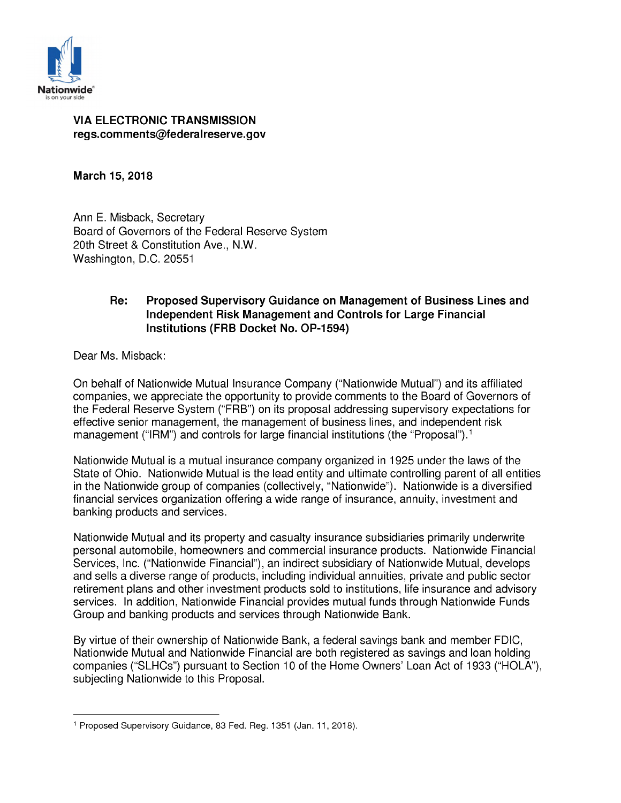

#### *VIA ELECTRONIC TRANSMISSION regs.comments@federalreserve.gov*

*March 15, 2018*

*Ann E. Mi back, Secretary* **Board** of Governors of the Federal Reserve System *20th Street & Con titution Ave., N.W. Wa hington, D.C. 20551*

## *Re: Proposed Supervisory Guidance on Management of Business Lines and Independent Risk Management and Controls for Large Financial Institutions (FRB Docket No. OP-1594)*

**Dear Ms. Misback:** 

*On behalf of Nationwide Mutual In urance Company ("Nationwide Mutual") and it affiliated companie , we appreciate the opportunity to provide comment to the Board of Governor of the* Federal Reserve System ("FRB") on its proposal addressing supervisory expectations for *effective senior management, the management of business lines, and independent risk management* ("IRM") and controls for large financial institutions (the "Proposal").<sup>1</sup>

*Nationwide Mutual i a mutual in urance company organized in 1925 under the law of the State* of *Ohio.* Nationwide Mutual is the lead entity and *ultimate* controlling parent of all entities *in* the Nationwide group of companies (collectively, "Nationwide"). Nationwide is a diversified *financial services organization offering a wide range of <i>insurance*, *annuity*, *investment* and **banking** products and services.

*Nationwide Mutual and it property and ca ualty in urance ub idiarie primarily underwrite per onal automobile, homeowner and commercial in urance product . Nationwide Financial Service , Inc. ("Nationwide Financial"), an indirect ub idiary of Nationwide Mutual, develop and ell a diver e range of product , including individual annuitie , private and public ector retirement* plans and other investment products sold to institutions, life insurance and advisory  *ervice . In addition, Nationwide Financial provide mutual fund through Nationwide Fund Group* and *banking* products and services through Nationwide Bank.

*By virtue of their owner hip of Nationwide Bank, a federal aving bank and member FDIC, Nationwide* Mutual and Nationwide Financial are both registered as savings and loan holding *companies* ("SLHCs") pursuant to Section 10 of the Home Owners' Loan Act of 1933 ("HOLA"), **subjecting Nationwide to this Proposal.** 

*<sup>1</sup> Propo ed Supervi ory Guidance, 83 Fed. Reg. 1351 (Jan. 11,2018).*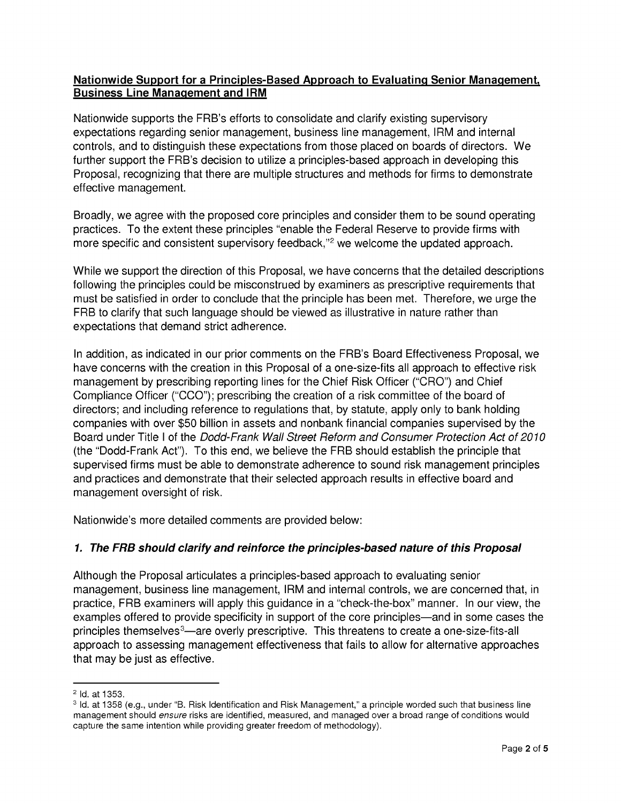#### *Nationwide Support for a Principles-Based Approach to Evaluating Senior Management, Business Line Management and IRM*

*Nationwide supports the FRB's efforts to consolidate and clarify existing supervisory expectations regarding senior management, business line management, IRM and internal control , and to di tingui h the e expectation from tho e placed on board of director . We further support the FRB's decision to utilize a principles-based approach in developing this Proposal, recognizing that there are multiple structures and methods for firms to demonstrate effective management.*

*Broadly, we agree with the proposed core principles and consider them to be sound operating practice . To the extent the e principle "enable the Federal Re erve to provide firm with more specific and consistent supervisory feedback,"<sup>2</sup> we welcome the updated approach.* 

*While* we support the direction of this Proposal, we have concerns that the detailed descriptions *following* the principles could be misconstrued by examiners as prescriptive requirements that *mu t be ati fied in order to conclude that the principle ha been met. Therefore, we urge the FRB* to *clarify* that such *language* should be viewed as illustrative in nature rather than *expectation that demand trict adherence.*

*In* addition, as indicated in our prior comments on the FRB's Board Effectiveness Proposal, we *have concern with the creation in thi Propo al of a one- ize-fit all approach to effective ri k management by pre cribing reporting line for the Chief Ri k Officer ("CRO") and Chief Compliance Officer ("CCO"); pre cribing the creation of a ri k committee of the board of director ; and including reference to regulation that, by tatute, apply only to bank holding companies* with *over* \$50 *billion* in assets and *nonbank financial companies* supervised by the *Board under Title <sup>I</sup> of the Dodd-Fra k Wall Street Reform a d Co sumer Protectio Act of 2010 (the "Dodd-Frank Act"). To thi end, we believe the FRB hould e tabli h the principle that upervi ed firm mu t be able to demon trate adherence to ound ri k management principle and practice and demon trate that their elected approach re ult in effective board and management oversight of risk.* 

*Nationwide's more detailed comments are provided below:* 

# *1. The F B should clarify and reinforce the principles-based nature of this Proposal*

*Although the Propo al articulate a principle -ba ed approach to evaluating enior management, bu ine line management, IRM and internal control , we are concerned that, in practice,* FRB examiners will apply this guidance in a "check-the-box" manner. In our view, the *example offered to provide pecificity in upport of the core principle —and in ome ca e the principles themselves<sup>3</sup>—are overly prescriptive. This threatens to create a one-size-fits-all approach to a e ing management effectivene that fail to allow for alternative approache that may be ju t a effective.*

*<sup>2</sup> Id. at 1353.*

<sup>&</sup>lt;sup>3</sup> Id. at 1358 (e.g., under "B. Risk Identification and Risk Management," a principle worded such that business line *management should ensure* risks are identified, measured, and managed over a broad range of conditions would *capture the ame intention while providing greater freedom of methodology).*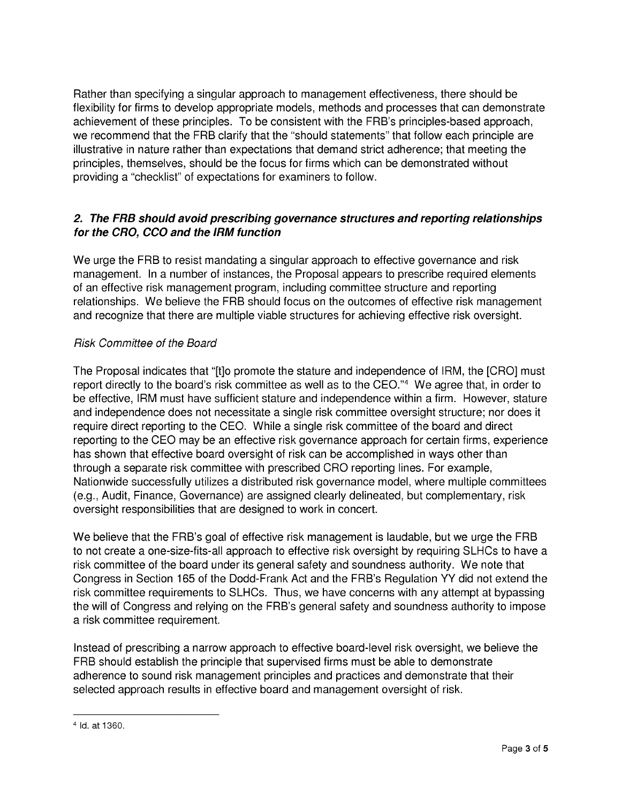*Rather than specifying a singular approach to management effectiveness, there should be flexibility* for firms to develop appropriate models, methods and processes that can demonstrate *achievement of the e principle . To be con i tent with the FRB' principle -ba ed approach, we recommend that the FRB clarify that the " hould tatement " that follow each principle are illu trative in nature rather than expectation that demand trict adherence; that meeting the principle , them elve , hould be the focu for firm which can be demon trated without providing* a "*checklist"* of *expectations* for *examiners* to *follow*.

### *2. The F B should avoid prescribing governance structures and reporting relationships for the C O, CCO and the I M function*

*We urge the FRB to re i t mandating a ingular approach to effective governance and ri k management.* In a number of instances, the Proposal appears to prescribe required elements *of an effective ri k management program, including committee tructure and reporting relationships.* We believe the FRB should focus on the outcomes of effective risk management *and recognize that there are multiple viable tructure for achieving effective ri k over ight.*

## *Risk Committee of the Board*

*The* Proposal indicates that "[t]o promote the stature and independence of IRM, the [CRO] must *report directly to the board's risk committee* as well as to the CEO."<sup>4</sup> We agree that, in order to *be effective, IRM mu t have ufficient tature and independence within a firm. However, tature and* independence does not necessitate a single risk committee oversight structure; nor does it *require direct reporting to the CEO. While a ingle ri k committee of the board and direct reporting to the CEO may be an effective ri k governance approach for certain firm , experience ha hown that effective board over ight of ri k can be accompli hed in way other than through* a separate risk committee with prescribed CRO reporting lines. For example, *Nationwide* successfully utilizes a distributed risk governance model, where multiple committees *(e.g., Audit, Finance, Governance) are a igned clearly delineated, but complementary, ri k over ight re pon ibilitie that are de igned to work in concert.*

*We believe that the FRB' goal of effective ri k management i laudable, but we urge the FRB to not create a one-size-fits-all approach to effective risk oversight by requiring* SLHCs *to have a risk* committee of the board under its general safety and soundness authority. We note that *Congre in Section 165 of the Dodd-Frank Act and the FRB' Regulation YY did not extend the risk committee requirements to SLHCs. Thus, we have concerns with any attempt at bypassing the* will of Congress and relying on the FRB's general safety and soundness authority to impose *a ri k committee requirement.*

*In tead of pre cribing a narrow approach to effective board-level ri k over ight, we believe the FRB* should establish the principle that supervised firms must be able to demonstrate *adherence* to sound risk management principles and practices and demonstrate that their  *elected approach re ult in effective board and management over ight of ri k.*

*<sup>4</sup> Id. at 1360.*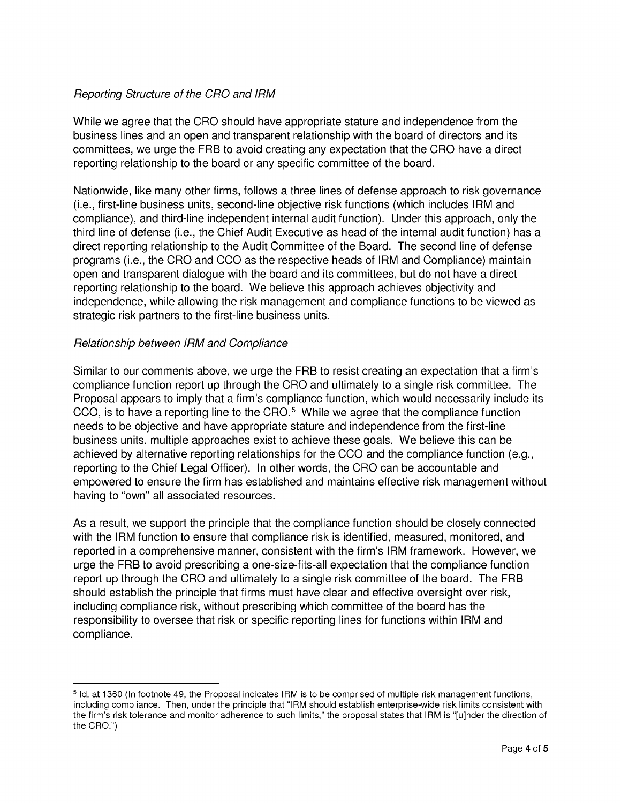## *Reporting Structure of the CRO and IRM*

*While* we agree that the CRO should have appropriate stature and independence from the *bu ine line and an open and tran parent relation hip with the board of director and it committee , we urge the FRB to avoid creating any expectation that the CRO have a direct reporting relation hip to the board or any pecific committee of the board.*

*Nationwide, like many other firm , follow a three line of defen e approach to ri k governance (i.e., fir t-line bu ine unit , econd-line objective ri k function (which include IRM and compliance), and third-line independent internal audit function). Under thi approach, only the third line of defen e (i.e., the Chief Audit Executive a head of the internal audit function) ha a direct reporting relation hip to the Audit Committee of the Board. The econd line of defen e program (i.e., the CRO and CCO a the re pective head of IRM and Compliance) maintain open and tran parent dialogue with the board and it committee , but do not have a direct reporting relation hip to the board. We believe thi approach achieve objectivity and independence, while allowing the risk management and compliance functions to be viewed as strategic risk partners to the first-line business units.* 

#### *Relationship between IRM* and *Compliance*

*Similar to our comment above, we urge the FRB to re i t creating an expectation that a firm' compliance function report up through the CRO and ultimately to a ingle ri k committee. The Proposal appears to imply that a firm's compliance function, which would necessarily include its CCO, i to have a reporting line to the CRO.5 While we agree that the compliance function need to be objective and have appropriate tature and independence from the fir t-line bu ine unit , multiple approache exi t to achieve the e goal . We believe thi can be achieved by alternative reporting relation hip for the CCO and the compliance function (e.g., reporting to the Chief Legal Officer). In other word , the CRO can be accountable and empowered to en ure the firm ha e tabli hed and maintain effective ri k management without having to "own" all a ociated re ource .*

*A a re ult, we upport the principle that the compliance function hould be clo ely connected with the IRM function to en ure that compliance ri k i identified, mea ured, monitored, and reported in a comprehen ive manner, con i tent with the firm' IRM framework. However, we urge the FRB to avoid pre cribing a one- ize-fit -all expectation that the compliance function report up through the CRO and ultimately to a ingle ri k committee of the board. The FRB hould e tabli h the principle that firm mu t have clear and effective over ight over ri k, including compliance risk, without prescribing* which *committee* of the board has the *responsibility* to oversee that risk or specific reporting lines for functions within IRM and *compliance.*

<sup>&</sup>lt;sup>5</sup> Id. at 1360 (In footnote 49, the Proposal indicates IRM is to be comprised of multiple risk management functions. *including compliance.* Then, *under* the *principle* that "IRM should establish enterprise-wide risk limits consistent with *the firm's risk tolerance* and *monitor* adherence to such *limits*," the proposal states that IRM is "[u]nder the direction of *the CRO.")*